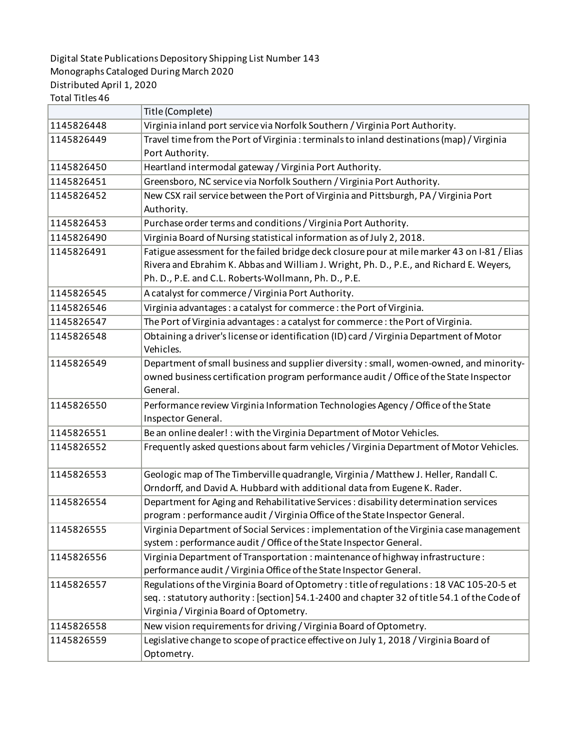## Digital State Publications Depository Shipping List Number 143 Monographs Cataloged During March 2020 Distributed April 1, 2020

Total Titles 46

|            | Title (Complete)                                                                                     |
|------------|------------------------------------------------------------------------------------------------------|
| 1145826448 | Virginia inland port service via Norfolk Southern / Virginia Port Authority.                         |
| 1145826449 | Travel time from the Port of Virginia: terminals to inland destinations (map) / Virginia             |
|            | Port Authority.                                                                                      |
| 1145826450 | Heartland intermodal gateway / Virginia Port Authority.                                              |
| 1145826451 | Greensboro, NC service via Norfolk Southern / Virginia Port Authority.                               |
| 1145826452 | New CSX rail service between the Port of Virginia and Pittsburgh, PA/Virginia Port                   |
|            | Authority.                                                                                           |
| 1145826453 | Purchase order terms and conditions / Virginia Port Authority.                                       |
| 1145826490 | Virginia Board of Nursing statistical information as of July 2, 2018.                                |
| 1145826491 | Fatigue assessment for the failed bridge deck closure pour at mile marker 43 on I-81 / Elias         |
|            | Rivera and Ebrahim K. Abbas and William J. Wright, Ph. D., P.E., and Richard E. Weyers,              |
|            | Ph. D., P.E. and C.L. Roberts-Wollmann, Ph. D., P.E.                                                 |
| 1145826545 | A catalyst for commerce / Virginia Port Authority.                                                   |
| 1145826546 | Virginia advantages : a catalyst for commerce : the Port of Virginia.                                |
| 1145826547 | The Port of Virginia advantages: a catalyst for commerce: the Port of Virginia.                      |
| 1145826548 | Obtaining a driver's license or identification (ID) card / Virginia Department of Motor<br>Vehicles. |
|            | Department of small business and supplier diversity: small, women-owned, and minority-               |
| 1145826549 | owned business certification program performance audit / Office of the State Inspector               |
|            | General.                                                                                             |
| 1145826550 | Performance review Virginia Information Technologies Agency / Office of the State                    |
|            | Inspector General.                                                                                   |
| 1145826551 | Be an online dealer! : with the Virginia Department of Motor Vehicles.                               |
| 1145826552 | Frequently asked questions about farm vehicles / Virginia Department of Motor Vehicles.              |
|            |                                                                                                      |
| 1145826553 | Geologic map of The Timberville quadrangle, Virginia / Matthew J. Heller, Randall C.                 |
|            | Orndorff, and David A. Hubbard with additional data from Eugene K. Rader.                            |
| 1145826554 | Department for Aging and Rehabilitative Services : disability determination services                 |
|            | program : performance audit / Virginia Office of the State Inspector General.                        |
| 1145826555 | Virginia Department of Social Services : implementation of the Virginia case management              |
|            | system : performance audit / Office of the State Inspector General.                                  |
| 1145826556 | Virginia Department of Transportation: maintenance of highway infrastructure:                        |
|            | performance audit / Virginia Office of the State Inspector General.                                  |
| 1145826557 | Regulations of the Virginia Board of Optometry: title of regulations: 18 VAC 105-20-5 et             |
|            | seq.: statutory authority: [section] 54.1-2400 and chapter 32 of title 54.1 of the Code of           |
|            | Virginia / Virginia Board of Optometry.                                                              |
| 1145826558 | New vision requirements for driving / Virginia Board of Optometry.                                   |
| 1145826559 | Legislative change to scope of practice effective on July 1, 2018 / Virginia Board of                |
|            | Optometry.                                                                                           |